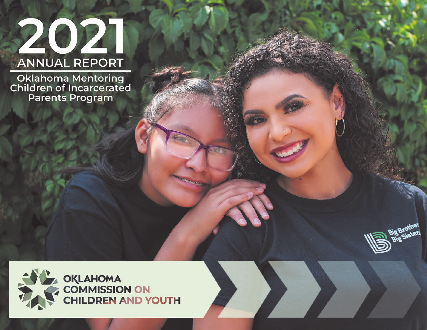# 2021 **ANNUAL REPORT**

Oklahoma Mentoring<br>Children of Incarcerated<br>Parents Program



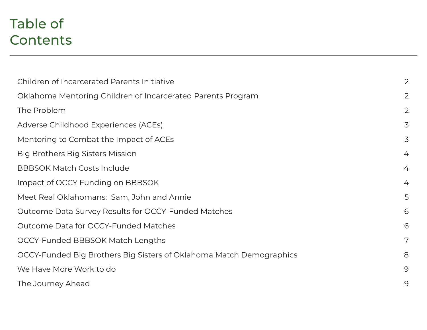## Table of **Contents**

| Children of Incarcerated Parents Initiative                         | 2 |
|---------------------------------------------------------------------|---|
| Oklahoma Mentoring Children of Incarcerated Parents Program         | 2 |
| The Problem                                                         | 2 |
| Adverse Childhood Experiences (ACEs)                                | 3 |
| Mentoring to Combat the Impact of ACEs                              | 3 |
| Big Brothers Big Sisters Mission                                    | 4 |
| <b>BBBSOK Match Costs Include</b>                                   | 4 |
| Impact of OCCY Funding on BBBSOK                                    | 4 |
| Meet Real Oklahomans: Sam, John and Annie                           | 5 |
| Outcome Data Survey Results for OCCY-Funded Matches                 | 6 |
| Outcome Data for OCCY-Funded Matches                                | 6 |
| OCCY-Funded BBBSOK Match Lengths                                    | 7 |
| OCCY-Funded Big Brothers Big Sisters of Oklahoma Match Demographics | 8 |
| We Have More Work to do                                             | 9 |
| The Journey Ahead                                                   | 9 |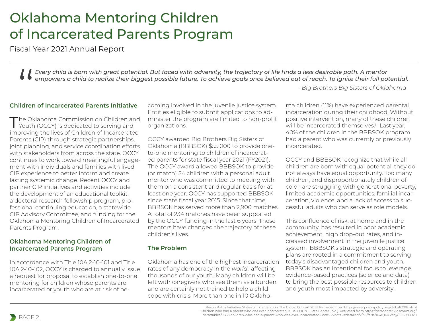### Oklahoma Mentoring Children of Incarcerated Parents Program

Fiscal Year 2021 Annual Report

*Every child is born with great potential. But faced with adversity, the trajectory of life finds a less desirable path. A mentor empowers a child to realize their biggest possible future. To achieve goals once believed out of reach. To ignite their full potential.* |<br>|<br>|<br>|<br>|<br>|<br>|<br>|<br>|<br><br>|<br><br><br>|

*- Big Brothers Big Sisters of Oklahoma*

### **Children of Incarcerated Parents Initiative**

The Oklahoma Commission on Children and Youth (OCCY) is dedicated to serving and improving the lives of Children of Incarcerated Parents (CIP) through strategic partnerships, joint planning, and service coordination efforts with stakeholders from across the state. OCCY continues to work toward meaningful engagement with individuals and families with lived CIP experience to better inform and create lasting systemic change. Recent OCCY and partner CIP initiatives and activities include the development of an educational toolkit, a doctoral research fellowship program, professional continuing education, a statewide CIP Advisory Committee, and funding for the Oklahoma Mentoring Children of Incarcerated Parents Program.

#### **Oklahoma Mentoring Children of Incarcerated Parents Program**

In accordance with Title 10A 2-10-101 and Title 10A 2-10-102, OCCY is charged to annually issue a request for proposal to establish one-to-one mentoring for children whose parents are incarcerated or youth who are at risk of be-

coming involved in the juvenile justice system. Entities eligible to submit applications to administer the program are limited to non-profit organizations.

OCCY awarded Big Brothers Big Sisters of Oklahoma (BBBSOK) \$55,000 to provide oneto-one mentoring to children of incarcerated parents for state fiscal year 2021 (FY2021). The OCCY award allowed BBBSOK to provide (or match) 54 children with a personal adult mentor who was committed to meeting with them on a consistent and regular basis for at least one year. OCCY has supported BBBSOK since state fiscal year 2015. Since that time, BBBSOK has served more than 2,900 matches. A total of 234 matches have been supported by the OCCY funding in the last 6 years. These mentors have changed the trajectory of these children's lives.

### **The Problem**

Oklahoma has one of the highest incarceration rates of any democracy in the *world*, affecting thousands of our youth. Many children will be left with caregivers who see them as a burden and are certainly not trained to help a child cope with crisis. More than one in 10 Oklaho-

ma children (11%) have experienced parental incarceration during their childhood. Without positive intervention, many of these children will be incarcerated themselves.<sup>ii</sup> Last year, 40% of the children in the BBBSOK program had a parent who was currently or previously incarcerated.

OCCY and BBBSOK recognize that while all children are born with equal potential, they do not always have equal opportunity. Too many children, and disproportionately children of color, are struggling with generational poverty, limited academic opportunities, familial incarceration, violence, and a lack of access to successful adults who can serve as role models.

This confluence of risk, at home and in the community, has resulted in poor academic achievement, high drop-out rates, and increased involvement in the juvenile justice system. BBBSOK's strategic and operating plans are rooted in a commitment to serving today's disadvantaged children and youth. BBBSOK has an intentional focus to leverage evidence-based practices (science and data) to bring the best possible resources to children and youth most impacted by adversity.

<sup>i</sup> Prison Policy Initiative. States of Incarceration: The Global Context 2018. Retrieved from https://www.prisonpolicy.org/global/2018.html "Children who had a parent who was ever incarcerated: KIDS COUNT Data Center. (n.d.). Retrieved from https://datacenter.kidscount.org/<br>data/tables/9688-children-who-had-a-parent-who-was-ever-incarcerated?loc=38&loct=2#deta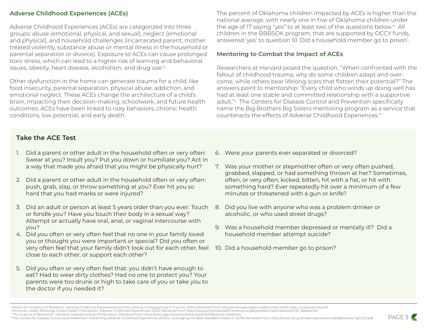#### **Adverse Childhood Experiences (ACEs)**

Adverse Childhood Experiences (ACEs) are categorized into three groups: abuse (emotional, physical, and sexual), neglect (emotional and physical), and household challenges (incarcerated parent, mother treated violently, substance abuse or mental illness in the household or parental separation or divorce). Exposure to ACEs can cause prolonged toxic stress, which can lead to a higher risk of learning and behavioral issues, obesity, heart disease, alcoholism, and drug use.iii

Other dysfunction in the home can generate trauma for a child, like food insecurity, parental separation, physical abuse, addiction, and emotional neglect. These ACEs change the architecture of a child's brain, impacting their decision-making, schoolwork, and future health outcomes. ACEs have been linked to risky behaviors, chronic health conditions, low potential, and early death.

The percent of Oklahoma children impacted by ACEs is higher than the national average, with nearly one in five of Oklahoma children under the age of 17 saying "yes" to at least two of the questions below.<sup>iv</sup> All children in the BBBSOK program, that are supported by OCCY funds, answered 'yes' to question 10 'Did a household member go to prison'.

#### **Mentoring to Combat the Impact of ACEs**

Researchers at Harvard posed the question, "When confronted with the fallout of childhood trauma, why do some children adapt and overcome, while others bear lifelong scars that flatten their potential?" The answers point to mentorship: "Every child who winds up doing well has had at least one stable and committed relationship with a supportive adult." The Centers for Disease Control and Prevention specifically name the Big Brothers Big Sisters mentoring program as a service that counteracts the effects of Adverse Childhood Experiences.<sup>iv</sup>

#### **Take the ACE Test**

- 1. Did a parent or other adult in the household often or very often: Swear at you? Insult you? Put you down or humiliate you? Act in a way that made you afraid that you might be physically hurt?
- 2. Did a parent or other adult in the household often or very often: push, grab, slap, or throw something at you? Ever hit you so hard that you had marks or were injured?
- 3. Did an adult or person at least 5 years older than you ever: Touch or fondle you? Have you touch their body in a sexual way? Attempt or actually have oral, anal, or vaginal intercourse with you?
- 4. Did you often or very often feel that no one in your family loved you or thought you were important or special? Did you often or very often feel that your family didn't look out for each other, feel close to each other, or support each other?
- 5. Did you often or very often feel that: you didn't have enough to eat? Had to wear dirty clothes? Had no one to protect you? Your parents were too drunk or high to take care of you or take you to the doctor if you needed it?
- 6. Were your parents ever separated or divorced?
- 7. Was your mother or stepmother often or very often pushed, grabbed, slapped, or had something thrown at her? Sometimes, often, or very often, kicked, bitten, hit with a fist, or hit with something hard? Ever repeatedly hit over a minimum of a few minutes or threatened with a gun or knife?
- 8. Did you live with anyone who was a problem drinker or alcoholic, or who used street drugs?
- 9. Was a household member depressed or mentally ill? Did a household member attempt suicide?
- 10. Did a household member go to prison?

iii American Academy of Pediatrics. Adverse Childhood Experiences and the Lifelong Consequences of Trauma. (2014) Retrieved from https://www.aap.org/en-us/documents/ttb\_aces\_consequences.pdf iv America's Health Rankings United Health Foundation. Adverse Childhood Experiences. (2021) Retrieved from https://www.americashealthrankings.org/explore/annual/measure/ACEs\_8/state/OK

v "The Science of Resilience." Harvard Graduate School of Education. Retrieved from https://www.gse.harvard.edu/news/uk/15/03/science-resilience

<sup>°</sup> The Science or resilience. Harvard oraculate school or equaculon. Retrieved from nitps://www.gse.narvard.edu/newsylv/hylospacence-resilience. (2019) Retrieved from https://www.cdc.gov/violenceprevention/pdf/preventingA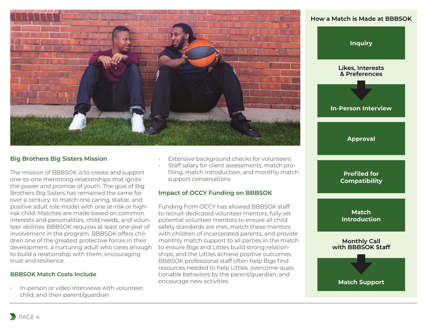

#### **Big Brothers Big Sisters Mission**

The mission of BBBSOK is to create and support one-to-one mentoring relationships that ignite the power and promise of youth. The goal of Big Brothers Big Sisters has remained the same for over a century: to match one caring, stable, and positive adult role model with one at-risk or highrisk child. Matches are made based on common interests and personalities, child needs, and volunteer abilities. BBBSOK requires at least one year of involvement in the program. BBBSOK offers children one of the greatest protective forces in their development: a nurturing adult who cares enough to build a relationship with them, encouraging trust and resilience.

#### **BBBSOK Match Costs Include**

• In-person or video interviews with volunteer, child, and their parent/guardian

- Extensive background checks for volunteers
- Staff salary for client assessments, match profiling, match introduction, and monthly match support conversations

#### **Impact of OCCY Funding on BBBSOK**

Funding from OCCY has allowed BBBSOK staff to recruit dedicated volunteer mentors, fully vet potential volunteer mentors to ensure all child safety standards are met, match these mentors with children of incarcerated parents, and provide monthly match support to all parties in the match to ensure Bigs and Littles build strong relationships, and the Littles achieve positive outcomes. BBBSOK professional staff often help Bigs find resources needed to help Littles, overcome questionable behaviors by the parent/guardian, and encourage new activities.

#### **How a Match is Made at BBBSOK**

**Inquiry**

**Likes, Interests & Preferences**

**In-Person Interview**

**Approval**

**Profiled for Compatibility**

**Match Introduction**

**Monthly Call with BBBSOK Staff**

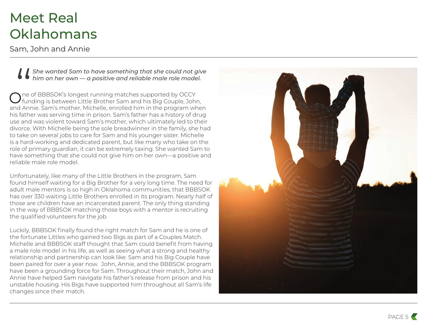### Meet Real **Oklahomans**

Sam, John and Annie

*She wanted Sam to have something that she could not give him on her own — a positive and reliable male role model.* 

One of BBBSOK's longest running matches supported by OCCY funding is between Little Brother Sam and his Big Couple, John, She wanted Sam to have something that she could not give<br>
him on her own — a positive and reliable male role model.<br>  $\bigcirc$  ne of BBBSOK's longest running matches supported by OCCY<br>
and Annie. Sam's mother, Michelle, enrol his father was serving time in prison. Sam's father has a history of drug use and was violent toward Sam's mother, which ultimately led to their divorce. With Michelle being the sole breadwinner in the family, she had to take on several jobs to care for Sam and his younger sister. Michelle is a hard-working and dedicated parent, but like many who take on the role of primary guardian, it can be extremely taxing. She wanted Sam to have something that she could not give him on her own—a positive and reliable male role model.

Unfortunately, like many of the Little Brothers in the program, Sam found himself waiting for a Big Brother for a very long time. The need for adult male mentors is so high in Oklahoma communities, that BBBSOK has over 330 waiting Little Brothers enrolled in its program. Nearly half of those are children have an incarcerated parent. The only thing standing in the way of BBBSOK matching those boys with a mentor is recruiting the qualified volunteers for the job.

Luckily, BBBSOK finally found the right match for Sam and he is one of the fortunate Littles who gained two Bigs as part of a Couples Match. Michelle and BBBSOK staff thought that Sam could benefit from having a male role model in his life, as well as seeing what a strong and healthy relationship and partnership can look like. Sam and his Big Couple have been paired for over a year now. John, Annie, and the BBBSOK program have been a grounding force for Sam. Throughout their match, John and Annie have helped Sam navigate his father's release from prison and his unstable housing. His Bigs have supported him throughout all Sam's life changes since their match.

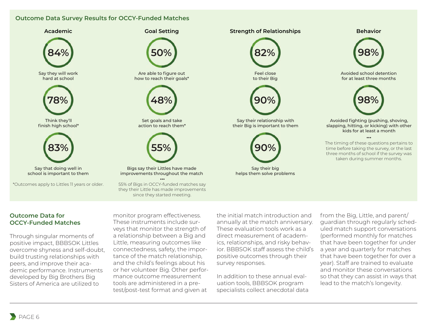#### **Outcome Data Survey Results for OCCY-Funded Matches**



#### **Outcome Data for OCCY-Funded Matches**

Through singular moments of positive impact, BBBSOK Littles overcome shyness and self-doubt, build trusting relationships with peers, and improve their academic performance. Instruments developed by Big Brothers Big Sisters of America are utilized to

monitor program effectiveness. These instruments include surveys that monitor the strength of a relationship between a Big and Little, measuring outcomes like connectedness, safety, the importance of the match relationship, and the child's feelings about his or her volunteer Big. Other performance outcome measurement tools are administered in a pretest/post-test format and given at

the initial match introduction and annually at the match anniversary. These evaluation tools work as a direct measurement of academics, relationships, and risky behavior. BBBSOK staff assess the child's positive outcomes through their survey responses.

In addition to these annual evaluation tools, BBBSOK program specialists collect anecdotal data

from the Big, Little, and parent/ guardian through regularly scheduled match support conversations (performed monthly for matches that have been together for under a year and quarterly for matches that have been together for over a year). Staff are trained to evaluate and monitor these conversations so that they can assist in ways that lead to the match's longevity.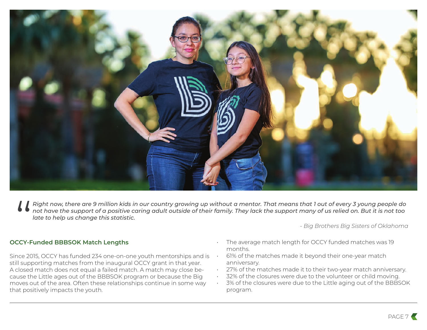

Right now, there are 9 million kid not have the support of a positive<br>
late to help us change this statist<br>
OCCY-Funded BBBSOK Match Lengths *Right now, there are 9 million kids in our country growing up without a mentor. That means that 1 out of every 3 young people do not have the support of a positive caring adult outside of their family. They lack the support many of us relied on. But it is not too late to help us change this statistic.*

*- Big Brothers Big Sisters of Oklahoma*

Since 2015, OCCY has funded 234 one-on-one youth mentorships and is still supporting matches from the inaugural OCCY grant in that year. A closed match does not equal a failed match. A match may close because the Little ages out of the BBBSOK program or because the Big moves out of the area. Often these relationships continue in some way that positively impacts the youth.

- The average match length for OCCY funded matches was 19 months.
- 61% of the matches made it beyond their one-year match anniversary.
- 27% of the matches made it to their two-year match anniversary.
- 32% of the closures were due to the volunteer or child moving.
- 3% of the closures were due to the Little aging out of the BBBSOK program.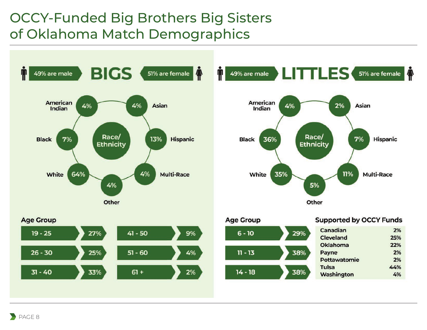### OCCY-Funded Big Brothers Big Sisters of Oklahoma Match Demographics



Washington

4%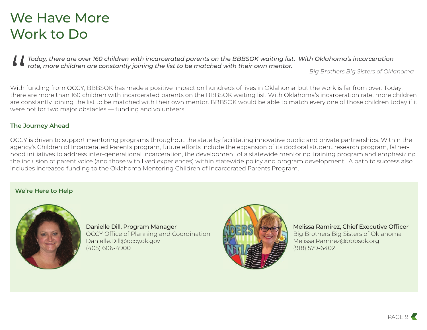### We Have More Work to Do

*Today, there are over 160 children with incarcerated parents on the BBBSOK waiting list. With Oklahoma's incarceration rate, more children are constantly joining the list to be matched with their own mentor.*

*- Big Brothers Big Sisters of Oklahoma*

With funding from OCCY, BBBSOK has made a positive impact on hundreds of lives in Oklahoma, but the work is far from over. Today, Today, there are over 160 children with incarcerated parents on the BBBSOK waiting list. With Oklahoma's incarceration<br>
rate, more children are constantly joining the list to be matched with their own mentor.<br>
"Big Brother are constantly joining the list to be matched with their own mentor. BBBSOK would be able to match every one of those children today if it were not for two major obstacles — funding and volunteers.

#### **The Journey Ahead**

OCCY is driven to support mentoring programs throughout the state by facilitating innovative public and private partnerships. Within the agency's Children of Incarcerated Parents program, future efforts include the expansion of its doctoral student research program, fatherhood initiatives to address inter-generational incarceration, the development of a statewide mentoring training program and emphasizing the inclusion of parent voice (and those with lived experiences) within statewide policy and program development. A path to success also includes increased funding to the Oklahoma Mentoring Children of Incarcerated Parents Program.

#### **We're Here to Help**



Danielle Dill, Program Manager OCCY Office of Planning and Coordination Danielle.Dill@occy.ok.gov (405) 606-4900



Melissa Ramirez, Chief Executive Officer Big Brothers Big Sisters of Oklahoma Melissa.Ramirez@bbbsok.org (918) 579-6402